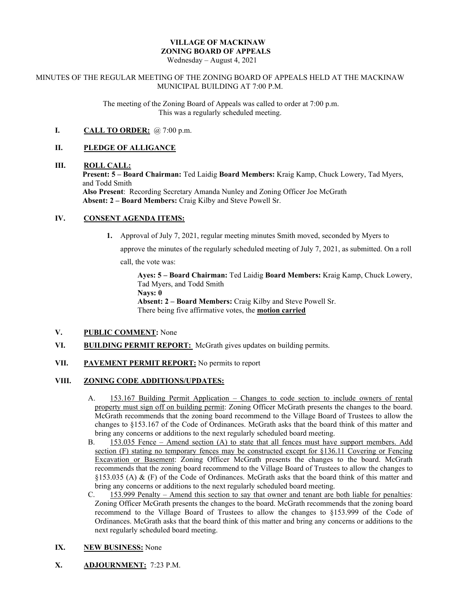# **VILLAGE OF MACKINAW ZONING BOARD OF APPEALS**

Wednesday – August 4, 2021

#### MINUTES OF THE REGULAR MEETING OF THE ZONING BOARD OF APPEALS HELD AT THE MACKINAW MUNICIPAL BUILDING AT 7:00 P.M.

The meeting of the Zoning Board of Appeals was called to order at 7:00 p.m. This was a regularly scheduled meeting.

# **I. CALL TO ORDER:** @ 7:00 p.m.

#### **II. PLEDGE OF ALLIGANCE**

#### **III. ROLL CALL:**

**Present: 5 – Board Chairman:** Ted Laidig **Board Members:** Kraig Kamp, Chuck Lowery, Tad Myers, and Todd Smith

**Also Present**: Recording Secretary Amanda Nunley and Zoning Officer Joe McGrath **Absent: 2 – Board Members:** Craig Kilby and Steve Powell Sr.

## **IV. CONSENT AGENDA ITEMS:**

**1.** Approval of July 7, 2021, regular meeting minutes Smith moved, seconded by Myers to

approve the minutes of the regularly scheduled meeting of July 7, 2021, as submitted. On a roll

call, the vote was:

**Ayes: 5 – Board Chairman:** Ted Laidig **Board Members:** Kraig Kamp, Chuck Lowery, Tad Myers, and Todd Smith

**Nays: 0**

**Absent: 2 – Board Members:** Craig Kilby and Steve Powell Sr. There being five affirmative votes, the **motion carried**

# **V. PUBLIC COMMENT:** None

**VI. BUILDING PERMIT REPORT:** McGrath gives updates on building permits.

## **VII. PAVEMENT PERMIT REPORT:** No permits to report

## **VIII. ZONING CODE ADDITIONS/UPDATES:**

- A. 153.167 Building Permit Application Changes to code section to include owners of rental property must sign off on building permit: Zoning Officer McGrath presents the changes to the board. McGrath recommends that the zoning board recommend to the Village Board of Trustees to allow the changes to §153.167 of the Code of Ordinances. McGrath asks that the board think of this matter and bring any concerns or additions to the next regularly scheduled board meeting.
- B. 153.035 Fence Amend section (A) to state that all fences must have support members. Add section (F) stating no temporary fences may be constructed except for §136.11 Covering or Fencing Excavation or Basement: Zoning Officer McGrath presents the changes to the board. McGrath recommends that the zoning board recommend to the Village Board of Trustees to allow the changes to §153.035 (A) & (F) of the Code of Ordinances. McGrath asks that the board think of this matter and bring any concerns or additions to the next regularly scheduled board meeting.
- C. 153.999 Penalty Amend this section to say that owner and tenant are both liable for penalties: Zoning Officer McGrath presents the changes to the board. McGrath recommends that the zoning board recommend to the Village Board of Trustees to allow the changes to §153.999 of the Code of Ordinances. McGrath asks that the board think of this matter and bring any concerns or additions to the next regularly scheduled board meeting.

## **IX. NEW BUSINESS:** None

**X. ADJOURNMENT:** 7:23 P.M.